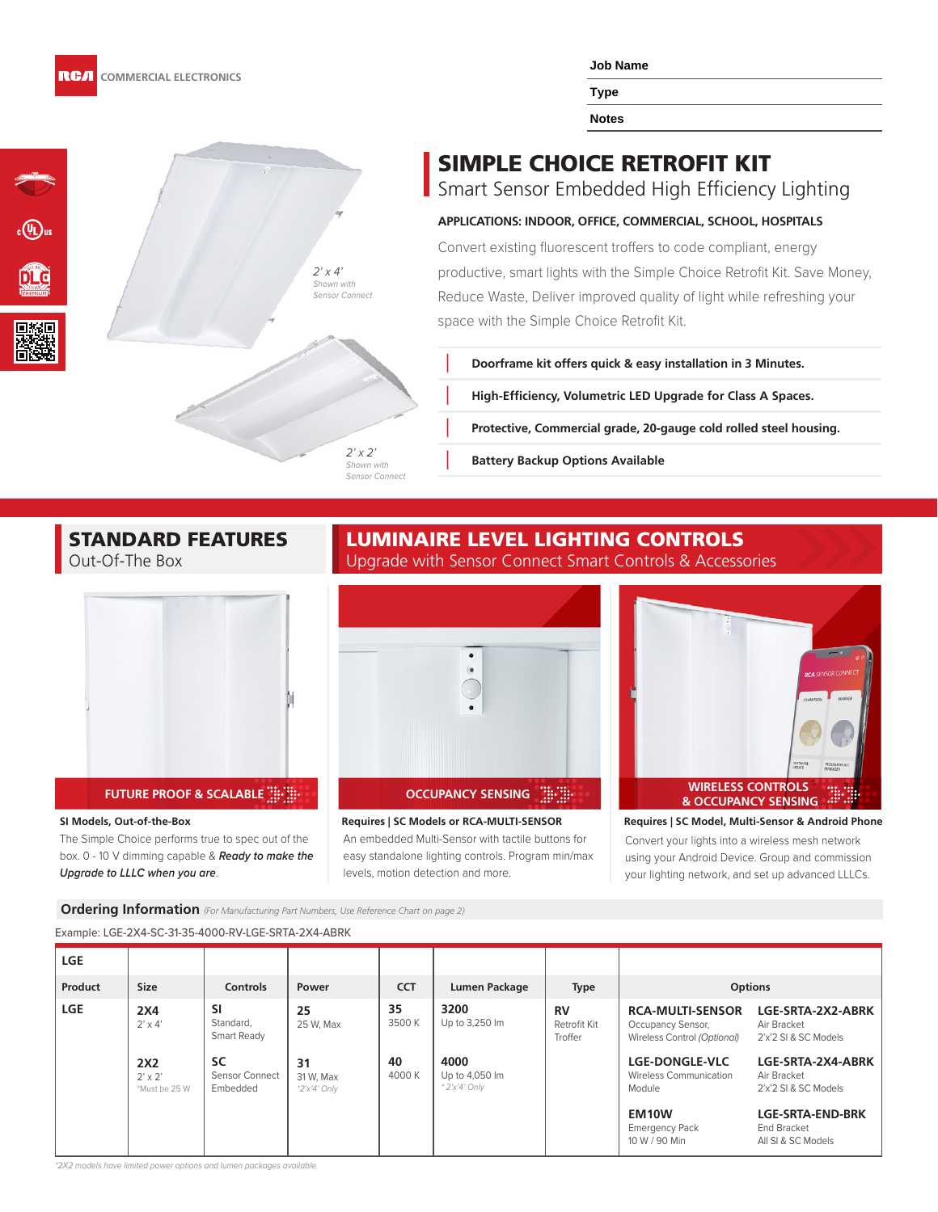**Job Name**

**Type**

**Notes**

# SIMPLE CHOICE RETROFIT KIT

Smart Sensor Embedded High Efficiency Lighting

### **APPLICATIONS: INDOOR, OFFICE, COMMERCIAL, SCHOOL, HOSPITALS**

Convert existing fluorescent troffers to code compliant, energy productive, smart lights with the Simple Choice Retrofit Kit. Save Money, Reduce Waste, Deliver improved quality of light while refreshing your space with the Simple Choice Retrofit Kit.

**Ň Doorframe kit offers quick & easy installation in 3 Minutes.**

**Ň High-Efficiency, Volumetric LED Upgrade for Class A Spaces.**

**Ň Protective, Commercial grade, 20-gauge cold rolled steel housing.**

**Battery Backup Options Available** 

### STANDARD FEATURES Out-Of-The Box

#### **SI Models, Out-of-the-Box**

The Simple Choice performs true to spec out of the box. 0 - 10 V dimming capable & **Ready to make the Upgrade to LLLC when you are**.



**Requires | SC Models or RCA-MULTI-SENSOR** An embedded Multi-Sensor with tactile buttons for easy standalone lighting controls. Program min/max levels, motion detection and more.



**Requires | SC Model, Multi-Sensor & Android Phone** Convert your lights into a wireless mesh network using your Android Device. Group and commission your lighting network, and set up advanced LLLCs.

**Ordering Information** *(For Manufacturing Part Numbers, Use Reference Chart on page 2)*

Example: LGE-2X4-SC-31-35-4000-RV-LGE-SRTA-2X4-ABRK

| <b>LGE</b> |                                               |                                         |                                  |              |                                           |                                      |                                                                             |                                                                     |
|------------|-----------------------------------------------|-----------------------------------------|----------------------------------|--------------|-------------------------------------------|--------------------------------------|-----------------------------------------------------------------------------|---------------------------------------------------------------------|
| Product    | <b>Size</b>                                   | <b>Controls</b>                         | Power                            | <b>CCT</b>   | Lumen Package                             | <b>Type</b>                          | <b>Options</b>                                                              |                                                                     |
| <b>LGE</b> | 2X4<br>$2' \times 4'$                         | <b>SI</b><br>Standard,<br>Smart Ready   | 25<br>25 W. Max                  | 35<br>3500K  | 3200<br>Up to 3,250 lm                    | <b>RV</b><br>Retrofit Kit<br>Troffer | <b>RCA-MULTI-SENSOR</b><br>Occupancy Sensor,<br>Wireless Control (Optional) | LGE-SRTA-2X2-ABRK<br>Air Bracket<br>2'x'2 SI & SC Models            |
|            | <b>2X2</b><br>$2' \times 2'$<br>*Must be 25 W | <b>SC</b><br>Sensor Connect<br>Embedded | 31<br>31 W. Max<br>$2'x'4'$ Only | 40<br>4000 K | 4000<br>Up to 4,050 lm<br>$*$ 2'x'4' Only |                                      | <b>LGE-DONGLE-VLC</b><br><b>Wireless Communication</b><br>Module            | LGE-SRTA-2X4-ABRK<br>Air Bracket<br>2'x'2 SI & SC Models            |
|            |                                               |                                         |                                  |              |                                           |                                      | EM <sub>10</sub> W<br><b>Emergency Pack</b><br>10 W / 90 Min                | <b>LGE-SRTA-END-BRK</b><br><b>End Bracket</b><br>All SI & SC Models |

\*2X2 models have limited power options and lumen packages available.

 $2'$  x  $2'$ Shown with

Sensor Connect

 $2'$  x 4'

Shown with Sensor Connect

## LUMINAIRE LEVEL LIGHTING CONTROLS

Upgrade with Sensor Connect Smart Controls & Accessories